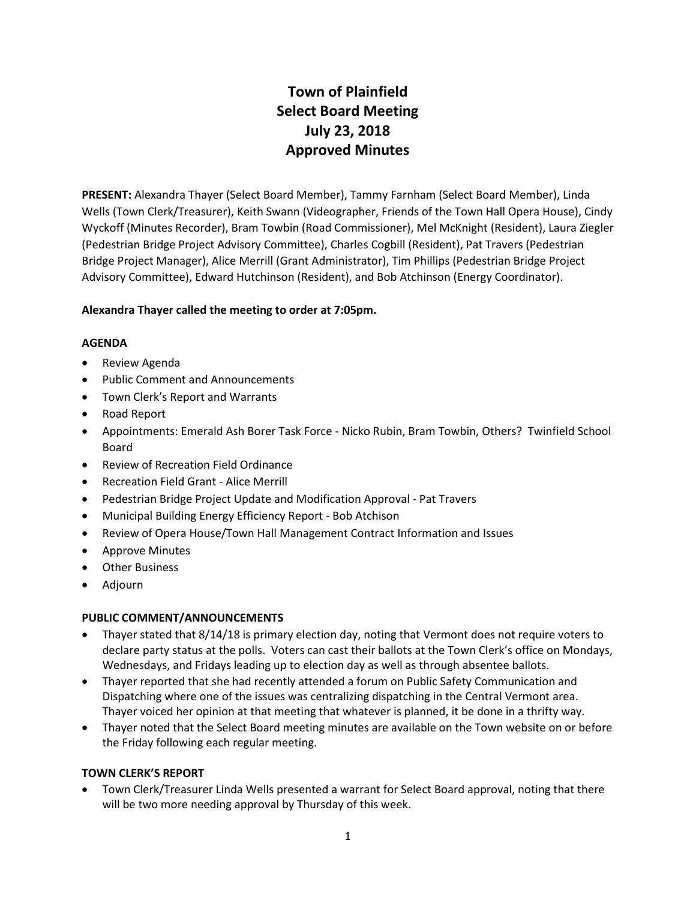# **Town of Plainfield Select Board Meeting July 23, 2018 Approved Minutes**

**PRESENT:** Alexandra Thayer (Select Board Member), Tammy Farnham (Select Board Member), Linda Wells (Town Clerk/Treasurer), Keith Swann (Videographer, Friends of the Town Hall Opera House), Cindy Wyckoff (Minutes Recorder), Bram Towbin (Road Commissioner), Mel McKnight (Resident), Laura Ziegler (Pedestrian Bridge Project Advisory Committee), Charles Cogbill (Resident), Pat Travers (Pedestrian Bridge Project Manager), Alice Merrill (Grant Administrator), Tim Phillips (Pedestrian Bridge Project Advisory Committee), Edward Hutchinson (Resident), and Bob Atchinson (Energy Coordinator).

## **Alexandra Thayer called the meeting to order at 7:05pm.**

## **AGENDA**

- Review Agenda
- Public Comment and Announcements
- Town Clerk's Report and Warrants
- Road Report
- Appointments: Emerald Ash Borer Task Force Nicko Rubin, Bram Towbin, Others? Twinfield School Board
- Review of Recreation Field Ordinance
- Recreation Field Grant Alice Merrill
- Pedestrian Bridge Project Update and Modification Approval Pat Travers
- Municipal Building Energy Efficiency Report Bob Atchison
- Review of Opera House/Town Hall Management Contract Information and Issues
- Approve Minutes
- Other Business
- Adjourn

## **PUBLIC COMMENT/ANNOUNCEMENTS**

- Thayer stated that 8/14/18 is primary election day, noting that Vermont does not require voters to declare party status at the polls. Voters can cast their ballots at the Town Clerk's office on Mondays, Wednesdays, and Fridays leading up to election day as well as through absentee ballots.
- Thayer reported that she had recently attended a forum on Public Safety Communication and Dispatching where one of the issues was centralizing dispatching in the Central Vermont area. Thayer voiced her opinion at that meeting that whatever is planned, it be done in a thrifty way.
- Thayer noted that the Select Board meeting minutes are available on the Town website on or before the Friday following each regular meeting.

## **TOWN CLERK'S REPORT**

 Town Clerk/Treasurer Linda Wells presented a warrant for Select Board approval, noting that there will be two more needing approval by Thursday of this week.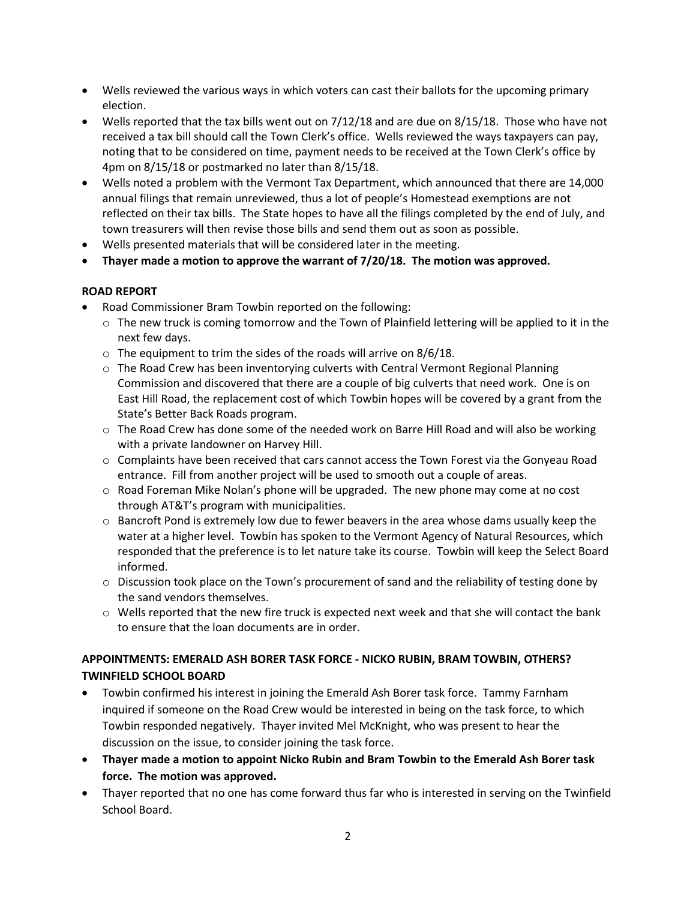- Wells reviewed the various ways in which voters can cast their ballots for the upcoming primary election.
- Wells reported that the tax bills went out on 7/12/18 and are due on 8/15/18. Those who have not received a tax bill should call the Town Clerk's office. Wells reviewed the ways taxpayers can pay, noting that to be considered on time, payment needs to be received at the Town Clerk's office by 4pm on 8/15/18 or postmarked no later than 8/15/18.
- Wells noted a problem with the Vermont Tax Department, which announced that there are 14,000 annual filings that remain unreviewed, thus a lot of people's Homestead exemptions are not reflected on their tax bills. The State hopes to have all the filings completed by the end of July, and town treasurers will then revise those bills and send them out as soon as possible.
- Wells presented materials that will be considered later in the meeting.
- **Thayer made a motion to approve the warrant of 7/20/18. The motion was approved.**

## **ROAD REPORT**

- Road Commissioner Bram Towbin reported on the following:
	- o The new truck is coming tomorrow and the Town of Plainfield lettering will be applied to it in the next few days.
	- $\circ$  The equipment to trim the sides of the roads will arrive on 8/6/18.
	- o The Road Crew has been inventorying culverts with Central Vermont Regional Planning Commission and discovered that there are a couple of big culverts that need work. One is on East Hill Road, the replacement cost of which Towbin hopes will be covered by a grant from the State's Better Back Roads program.
	- $\circ$  The Road Crew has done some of the needed work on Barre Hill Road and will also be working with a private landowner on Harvey Hill.
	- $\circ$  Complaints have been received that cars cannot access the Town Forest via the Gonyeau Road entrance. Fill from another project will be used to smooth out a couple of areas.
	- o Road Foreman Mike Nolan's phone will be upgraded. The new phone may come at no cost through AT&T's program with municipalities.
	- $\circ$  Bancroft Pond is extremely low due to fewer beavers in the area whose dams usually keep the water at a higher level. Towbin has spoken to the Vermont Agency of Natural Resources, which responded that the preference is to let nature take its course. Towbin will keep the Select Board informed.
	- $\circ$  Discussion took place on the Town's procurement of sand and the reliability of testing done by the sand vendors themselves.
	- $\circ$  Wells reported that the new fire truck is expected next week and that she will contact the bank to ensure that the loan documents are in order.

# **APPOINTMENTS: EMERALD ASH BORER TASK FORCE - NICKO RUBIN, BRAM TOWBIN, OTHERS? TWINFIELD SCHOOL BOARD**

- Towbin confirmed his interest in joining the Emerald Ash Borer task force. Tammy Farnham inquired if someone on the Road Crew would be interested in being on the task force, to which Towbin responded negatively. Thayer invited Mel McKnight, who was present to hear the discussion on the issue, to consider joining the task force.
- **Thayer made a motion to appoint Nicko Rubin and Bram Towbin to the Emerald Ash Borer task force. The motion was approved.**
- Thayer reported that no one has come forward thus far who is interested in serving on the Twinfield School Board.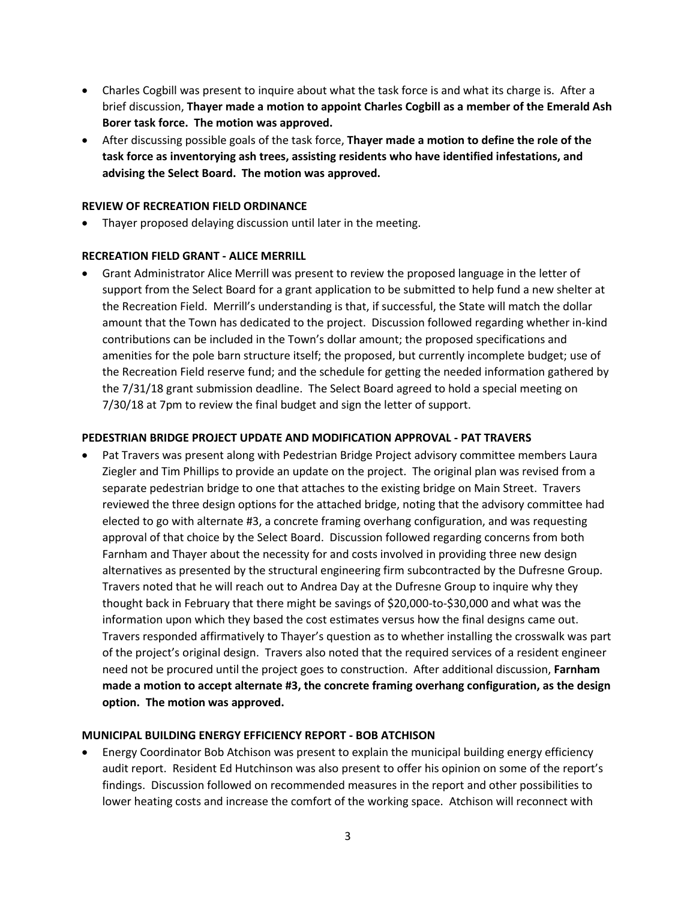- Charles Cogbill was present to inquire about what the task force is and what its charge is. After a brief discussion, **Thayer made a motion to appoint Charles Cogbill as a member of the Emerald Ash Borer task force. The motion was approved.**
- After discussing possible goals of the task force, **Thayer made a motion to define the role of the task force as inventorying ash trees, assisting residents who have identified infestations, and advising the Select Board. The motion was approved.**

#### **REVIEW OF RECREATION FIELD ORDINANCE**

Thayer proposed delaying discussion until later in the meeting.

#### **RECREATION FIELD GRANT - ALICE MERRILL**

 Grant Administrator Alice Merrill was present to review the proposed language in the letter of support from the Select Board for a grant application to be submitted to help fund a new shelter at the Recreation Field. Merrill's understanding is that, if successful, the State will match the dollar amount that the Town has dedicated to the project. Discussion followed regarding whether in-kind contributions can be included in the Town's dollar amount; the proposed specifications and amenities for the pole barn structure itself; the proposed, but currently incomplete budget; use of the Recreation Field reserve fund; and the schedule for getting the needed information gathered by the 7/31/18 grant submission deadline. The Select Board agreed to hold a special meeting on 7/30/18 at 7pm to review the final budget and sign the letter of support.

#### **PEDESTRIAN BRIDGE PROJECT UPDATE AND MODIFICATION APPROVAL - PAT TRAVERS**

 Pat Travers was present along with Pedestrian Bridge Project advisory committee members Laura Ziegler and Tim Phillips to provide an update on the project. The original plan was revised from a separate pedestrian bridge to one that attaches to the existing bridge on Main Street. Travers reviewed the three design options for the attached bridge, noting that the advisory committee had elected to go with alternate #3, a concrete framing overhang configuration, and was requesting approval of that choice by the Select Board. Discussion followed regarding concerns from both Farnham and Thayer about the necessity for and costs involved in providing three new design alternatives as presented by the structural engineering firm subcontracted by the Dufresne Group. Travers noted that he will reach out to Andrea Day at the Dufresne Group to inquire why they thought back in February that there might be savings of \$20,000-to-\$30,000 and what was the information upon which they based the cost estimates versus how the final designs came out. Travers responded affirmatively to Thayer's question as to whether installing the crosswalk was part of the project's original design. Travers also noted that the required services of a resident engineer need not be procured until the project goes to construction. After additional discussion, **Farnham made a motion to accept alternate #3, the concrete framing overhang configuration, as the design option. The motion was approved.** 

#### **MUNICIPAL BUILDING ENERGY EFFICIENCY REPORT - BOB ATCHISON**

 Energy Coordinator Bob Atchison was present to explain the municipal building energy efficiency audit report. Resident Ed Hutchinson was also present to offer his opinion on some of the report's findings. Discussion followed on recommended measures in the report and other possibilities to lower heating costs and increase the comfort of the working space. Atchison will reconnect with